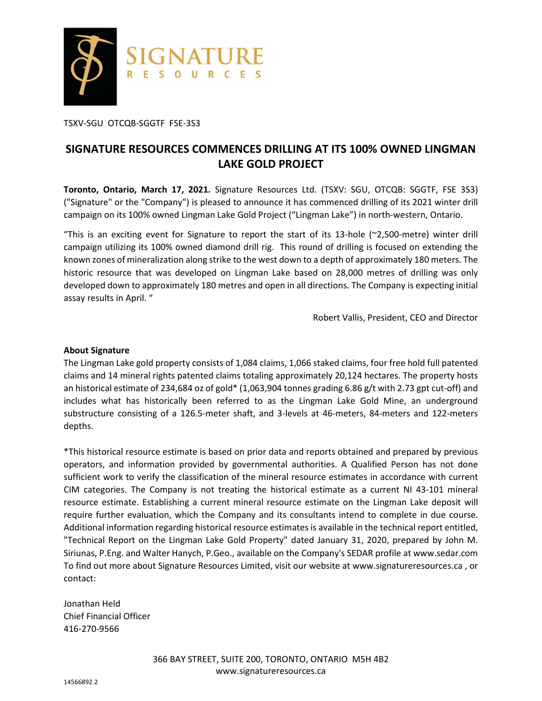

TSXV-SGU OTCQB-SGGTF FSE-3S3

# **SIGNATURE RESOURCES COMMENCES DRILLING AT ITS 100% OWNED LINGMAN LAKE GOLD PROJECT**

**Toronto, Ontario, March 17, 2021.** Signature Resources Ltd. (TSXV: SGU, OTCQB: SGGTF, FSE 3S3) ("Signature" or the "Company") is pleased to announce it has commenced drilling of its 2021 winter drill campaign on its 100% owned Lingman Lake Gold Project ("Lingman Lake") in north-western, Ontario.

"This is an exciting event for Signature to report the start of its 13-hole (~2,500-metre) winter drill campaign utilizing its 100% owned diamond drill rig. This round of drilling is focused on extending the known zones of mineralization along strike to the west down to a depth of approximately 180 meters. The historic resource that was developed on Lingman Lake based on 28,000 metres of drilling was only developed down to approximately 180 metres and open in all directions. The Company is expecting initial assay results in April. "

Robert Vallis, President, CEO and Director

### **About Signature**

The Lingman Lake gold property consists of 1,084 claims, 1,066 staked claims, four free hold full patented claims and 14 mineral rights patented claims totaling approximately 20,124 hectares. The property hosts an historical estimate of 234,684 oz of gold\* (1,063,904 tonnes grading 6.86 g/t with 2.73 gpt cut-off) and includes what has historically been referred to as the Lingman Lake Gold Mine, an underground substructure consisting of a 126.5-meter shaft, and 3-levels at 46-meters, 84-meters and 122-meters depths.

\*This historical resource estimate is based on prior data and reports obtained and prepared by previous operators, and information provided by governmental authorities. A Qualified Person has not done sufficient work to verify the classification of the mineral resource estimates in accordance with current CIM categories. The Company is not treating the historical estimate as a current NI 43-101 mineral resource estimate. Establishing a current mineral resource estimate on the Lingman Lake deposit will require further evaluation, which the Company and its consultants intend to complete in due course. Additional information regarding historical resource estimates is available in the technical report entitled, "Technical Report on the Lingman Lake Gold Property" dated January 31, 2020, prepared by John M. Siriunas, P.Eng. and Walter Hanych, P.Geo., available on the Company's SEDAR profile at www.sedar.com To find out more about Signature Resources Limited, visit our website at www.signatureresources.ca , or contact:

Jonathan Held Chief Financial Officer 416-270-9566